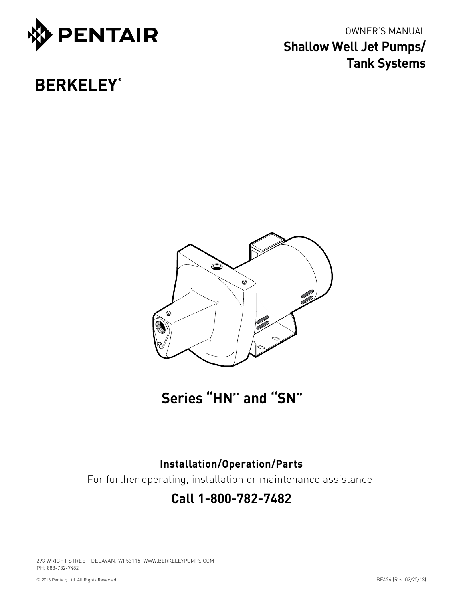

OWNER'S MANUAL **Shallow Well Jet Pumps/ Tank Systems**

# **BERKELEY**<sup>®</sup>



**Series "HN" and "SN"**

# **Installation/Operation/Parts**

For further operating, installation or maintenance assistance:

# **Call 1-800-782-7482**

293 WRIGHT STREET, DELAVAN, WI 53115 WWW.BERKELEYPUMPS.COM PH: 888-782-7482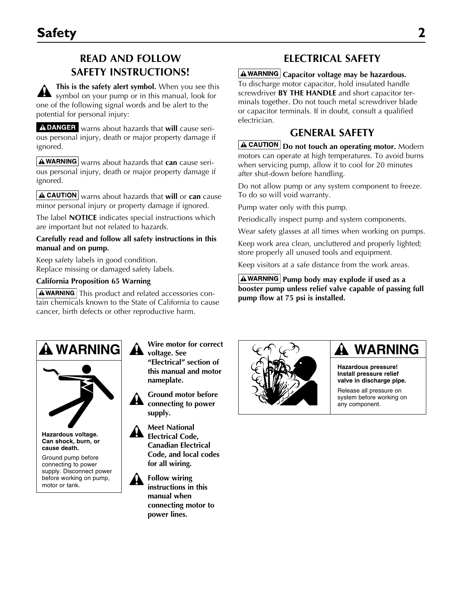# **READ AND FOLLOW SAFETY INSTRUCTIONS!**

**This is the safety alert symbol.** When you see this symbol on your pump or in this manual, look for one of the following signal words and be alert to the potential for personal injury:

ADANGER warns about hazards that will cause serious personal injury, death or major property damage if ignored.

**A WARNING** warns about hazards that **can** cause serious personal injury, death or major property damage if ignored.

**A CAUTION** warns about hazards that will or can cause minor personal injury or property damage if ignored.

The label **NOTICE** indicates special instructions which are important but not related to hazards.

### **Carefully read and follow all safety instructions in this manual and on pump.**

Keep safety labels in good condition. Replace missing or damaged safety labels.

### **California Proposition 65 Warning**

 $\Delta$  WARNING This product and related accessories contain chemicals known to the State of California to cause cancer, birth defects or other reproductive harm.

# **Electrical Safety**

**Capacitor voltage may be hazardous.** To discharge motor capacitor, hold insulated handle screwdriver **BY THE HANDLE** and short capacitor terminals together. Do not touch metal screwdriver blade or capacitor terminals. If in doubt, consult a qualified electrician.

# **General Safety**

**A CAUTION** Do not touch an operating motor. Modern motors can operate at high temperatures. To avoid burns when servicing pump, allow it to cool for 20 minutes after shut-down before handling.

Do not allow pump or any system component to freeze. To do so will void warranty.

Pump water only with this pump.

Periodically inspect pump and system components.

Wear safety glasses at all times when working on pumps.

Keep work area clean, uncluttered and properly lighted; store properly all unused tools and equipment.

Keep visitors at a safe distance from the work areas.

**A**WARNING Pump body may explode if used as a **booster pump unless relief valve capable of passing full pump flow at 75 psi is installed.**





**Hazardous voltage. Can shock, burn, or cause death.**

Ground pump before connecting to power supply. Disconnect power before working on pump, motor or tank.

**Wire motor for correct voltage. See "Electrical" section of this manual and motor nameplate.**

**Ground motor before**  ₩. **connecting to power supply.**



**Follow wiring instructions in this manual when connecting motor to power lines.**



# **WARNING**

**Hazardous pressure! Install pressure relief valve in discharge pipe.**

Release all pressure on system before working on any component.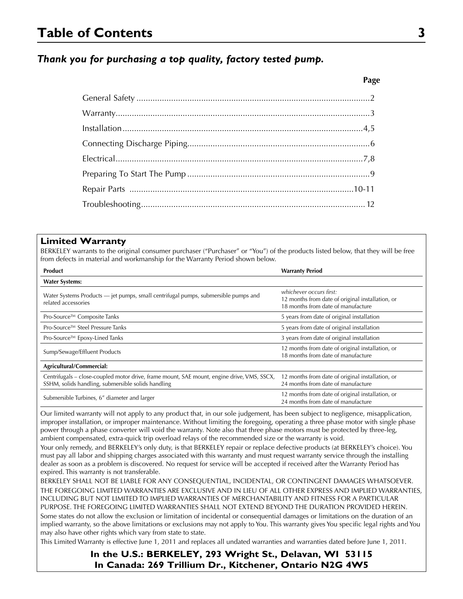# **Table of Contents 3**

## *Thank you for purchasing a top quality, factory tested pump.*

### **Limited Warranty**

BERKELEY warrants to the original consumer purchaser ("Purchaser" or "You") of the products listed below, that they will be free from defects in material and workmanship for the Warranty Period shown below.

| <b>Product</b>                                                                                                                                   | <b>Warranty Period</b>                                                                                            |  |  |  |
|--------------------------------------------------------------------------------------------------------------------------------------------------|-------------------------------------------------------------------------------------------------------------------|--|--|--|
| <b>Water Systems:</b>                                                                                                                            |                                                                                                                   |  |  |  |
| Water Systems Products — jet pumps, small centrifugal pumps, submersible pumps and<br>related accessories                                        | whichever occurs first:<br>12 months from date of original installation, or<br>18 months from date of manufacture |  |  |  |
| Pro-Source™ Composite Tanks                                                                                                                      | 5 years from date of original installation                                                                        |  |  |  |
| Pro-Source™ Steel Pressure Tanks                                                                                                                 | 5 years from date of original installation                                                                        |  |  |  |
| Pro-Source™ Epoxy-Lined Tanks                                                                                                                    | 3 years from date of original installation                                                                        |  |  |  |
| Sump/Sewage/Effluent Products                                                                                                                    | 12 months from date of original installation, or<br>18 months from date of manufacture                            |  |  |  |
| Agricultural/Commercial:                                                                                                                         |                                                                                                                   |  |  |  |
| Centrifugals - close-coupled motor drive, frame mount, SAE mount, engine drive, VMS, SSCX,<br>SSHM, solids handling, submersible solids handling | 12 months from date of original installation, or<br>24 months from date of manufacture                            |  |  |  |
| Submersible Turbines, 6" diameter and larger                                                                                                     | 12 months from date of original installation, or<br>24 months from date of manufacture                            |  |  |  |

Our limited warranty will not apply to any product that, in our sole judgement, has been subject to negligence, misapplication, improper installation, or improper maintenance. Without limiting the foregoing, operating a three phase motor with single phase power through a phase converter will void the warranty. Note also that three phase motors must be protected by three-leg, ambient compensated, extra-quick trip overload relays of the recommended size or the warranty is void.

Your only remedy, and BERKELEY's only duty, is that BERKELEY repair or replace defective products (at BERKELEY's choice). You must pay all labor and shipping charges associated with this warranty and must request warranty service through the installing dealer as soon as a problem is discovered. No request for service will be accepted if received after the Warranty Period has expired. This warranty is not transferable.

BERKELEY SHALL NOT BE LIABLE FOR ANY CONSEQUENTIAL, INCIDENTAL, OR CONTINGENT DAMAGES WHATSOEVER. THE FOREGOING LIMITED WARRANTIES ARE EXCLUSIVE AND IN LIEU OF ALL OTHER EXPRESS AND IMPLIED WARRANTIES, INCLUDING BUT NOT LIMITED TO IMPLIED WARRANTIES OF MERCHANTABILITY AND FITNESS FOR A PARTICULAR PURPOSE. THE FOREGOING LIMITED WARRANTIES SHALL NOT EXTEND BEYOND THE DURATION PROVIDED HEREIN. Some states do not allow the exclusion or limitation of incidental or consequential damages or limitations on the duration of an implied warranty, so the above limitations or exclusions may not apply to You. This warranty gives You specific legal rights and You may also have other rights which vary from state to state.

This Limited Warranty is effective June 1, 2011 and replaces all undated warranties and warranties dated before June 1, 2011.

**In the U.S.: BERKELEY, 293 Wright St., Delavan, WI 53115 In Canada: 269 Trillium Dr., Kitchener, Ontario N2G 4W5**

#### **Page**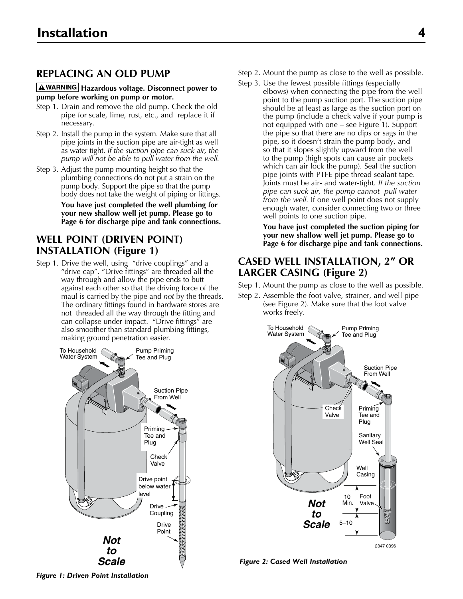# **Replacing An Old Pump**

### **A**WARNING Hazardous voltage. Disconnect power to **pump before working on pump or motor.**

- Step 1. Drain and remove the old pump. Check the old pipe for scale, lime, rust, etc., and replace it if necessary.
- Step 2. Install the pump in the system. Make sure that all pipe joints in the suction pipe are air-tight as well as water tight. *If the suction pipe can suck air, the pump will not be able to pull water from the well.*
- Step 3. Adjust the pump mounting height so that the plumbing connections do not put a strain on the pump body. Support the pipe so that the pump body does not take the weight of piping or fittings.

 **You have just completed the well plumbing for your new shallow well jet pump. Please go to Page 6 for discharge pipe and tank connections.**

## **Well Point (Driven Point) Installation (Figure 1)**

Step 1. Drive the well, using "drive couplings" and a "drive cap". "Drive fittings" are threaded all the way through and allow the pipe ends to butt against each other so that the driving force of the maul is carried by the pipe and *not* by the threads. The ordinary fittings found in hardware stores are not threaded all the way through the fitting and can collapse under impact. "Drive fittings" are also smoother than standard plumbing fittings, making ground penetration easier.



- Step 2. Mount the pump as close to the well as possible.
- Step 3. Use the fewest possible fittings (especially elbows) when connecting the pipe from the well point to the pump suction port. The suction pipe should be at least as large as the suction port on the pump (include a check valve if your pump is not equipped with one – see Figure 1). Support the pipe so that there are no dips or sags in the pipe, so it doesn't strain the pump body, and so that it slopes slightly upward from the well to the pump (high spots can cause air pockets which can air lock the pump). Seal the suction pipe joints with PTFE pipe thread sealant tape. Joints must be air- and water-tight. *If the suction pipe can suck air, the pump cannot pull water from the well.* If one well point does not supply enough water, consider connecting two or three well points to one suction pipe.

**You have just completed the suction piping for your new shallow well jet pump. Please go to Page 6 for discharge pipe and tank connections.**

### **Cased Well Installation, 2" or Larger Casing (Figure 2)**

Step 1. Mount the pump as close to the well as possible.

Step 2. Assemble the foot valve, strainer, and well pipe (see Figure 2). Make sure that the foot valve works freely.



*Figure 2: Cased Well Installation*

*Figure 1: Driven Point Installation*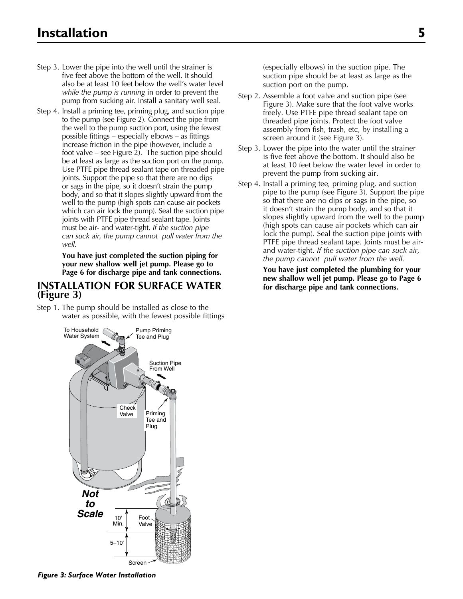- Step 3. Lower the pipe into the well until the strainer is five feet above the bottom of the well. It should also be at least 10 feet below the well's water level *while the pump is running* in order to prevent the pump from sucking air. Install a sanitary well seal.
- Step 4. Install a priming tee, priming plug, and suction pipe to the pump (see Figure 2). Connect the pipe from the well to the pump suction port, using the fewest possible fittings – especially elbows – as fittings increase friction in the pipe (however, include a foot valve – see Figure 2). The suction pipe should be at least as large as the suction port on the pump. Use PTFE pipe thread sealant tape on threaded pipe joints. Support the pipe so that there are no dips or sags in the pipe, so it doesn't strain the pump body, and so that it slopes slightly upward from the well to the pump (high spots can cause air pockets which can air lock the pump). Seal the suction pipe joints with PTFE pipe thread sealant tape. Joints must be air- and water-tight. *If the suction pipe can suck air, the pump cannot pull water from the well.*

**You have just completed the suction piping for your new shallow well jet pump. Please go to Page 6 for discharge pipe and tank connections.**

### **Installation for Surface Water (Figure 3)**

Step 1. The pump should be installed as close to the water as possible, with the fewest possible fittings



- Step 2. Assemble a foot valve and suction pipe (see Figure 3). Make sure that the foot valve works freely. Use PTFE pipe thread sealant tape on threaded pipe joints. Protect the foot valve assembly from fish, trash, etc, by installing a screen around it (see Figure 3).
- Step 3. Lower the pipe into the water until the strainer is five feet above the bottom. It should also be at least 10 feet below the water level in order to prevent the pump from sucking air.
- Step 4. Install a priming tee, priming plug, and suction pipe to the pump (see Figure 3). Support the pipe so that there are no dips or sags in the pipe, so it doesn't strain the pump body, and so that it slopes slightly upward from the well to the pump (high spots can cause air pockets which can air lock the pump). Seal the suction pipe joints with PTFE pipe thread sealant tape. Joints must be airand water-tight. *If the suction pipe can suck air, the pump cannot pull water from the well.*

**You have just completed the plumbing for your new shallow well jet pump. Please go to Page 6 for discharge pipe and tank connections.**



2348 0396 *Figure 3: Surface Water Installation*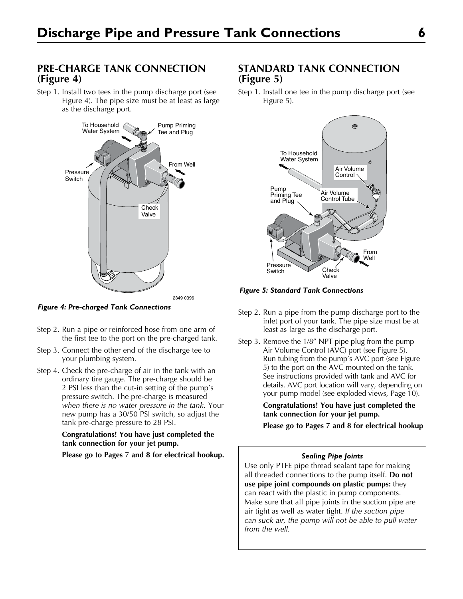# **Pre-Charge Tank Connection (Figure 4)**

Step 1. Install two tees in the pump discharge port (see Figure 4). The pipe size must be at least as large as the discharge port.



*Figure 4: Pre-charged Tank Connections*

- Step 2. Run a pipe or reinforced hose from one arm of the first tee to the port on the pre-charged tank.
- Step 3. Connect the other end of the discharge tee to your plumbing system.
- Step 4. Check the pre-charge of air in the tank with an ordinary tire gauge. The pre-charge should be 2 PSI less than the cut-in setting of the pump's pressure switch. The pre-charge is measured *when there is no water pressure in the tank.* Your new pump has a 30/50 PSI switch, so adjust the tank pre-charge pressure to 28 PSI.

### **Congratulations! You have just completed the tank connection for your jet pump.**

**Please go to Pages 7 and 8 for electrical hookup.**

# **Standard Tank Connection (Figure 5)**

Step 1. Install one tee in the pump discharge port (see Figure 5).



*Figure 5: Standard Tank Connections*

- Step 2. Run a pipe from the pump discharge port to the inlet port of your tank. The pipe size must be at least as large as the discharge port.
- Step 3. Remove the 1/8" NPT pipe plug from the pump Air Volume Control (AVC) port (see Figure 5). Run tubing from the pump's AVC port (see Figure 5) to the port on the AVC mounted on the tank. See instructions provided with tank and AVC for details. AVC port location will vary, depending on your pump model (see exploded views, Page 10).

**Congratulations! You have just completed the tank connection for your jet pump.** 

**Please go to Pages 7 and 8 for electrical hookup**

### *Sealing Pipe Joints*

Use only PTFE pipe thread sealant tape for making all threaded connections to the pump itself. **Do not use pipe joint compounds on plastic pumps:** they can react with the plastic in pump components. Make sure that all pipe joints in the suction pipe are air tight as well as water tight. *If the suction pipe can suck air, the pump will not be able to pull water from the well.*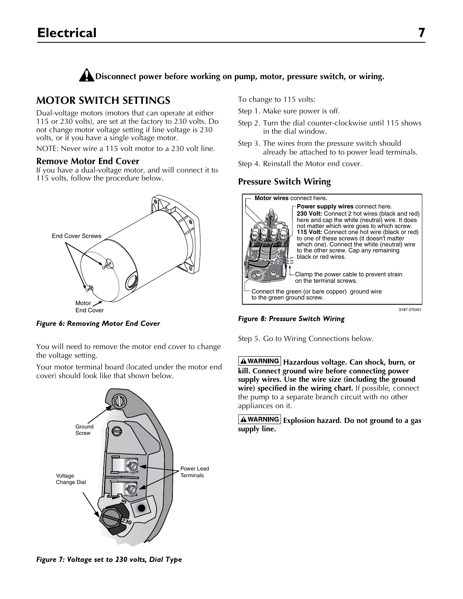

# **Motor Switch Settings**

Dual-voltage motors (motors that can operate at either 115 or 230 volts), are set at the factory to 230 volts. Do not change motor voltage setting if line voltage is 230 volts, or if you have a single voltage motor.

NOTE: Never wire a 115 volt motor to a 230 volt line.

### **Remove Motor End Cover**

If you have a dual-voltage motor, and will connect it to 115 volts, follow the procedure below.



*Figure 6: Removing Motor End Cover*

You will need to remove the motor end cover to change the voltage setting.

Your motor terminal board (located under the motor end cover) should look like that shown below.



To change to 115 volts:

Step 1. Make sure power is off.

- Step 2. Turn the dial counter-clockwise until 115 shows in the dial window.
- Step 3. The wires from the pressure switch should already be attached to to power lead terminals.
- Step 4. Reinstall the Motor end cover.

### **Pressure Switch Wiring**



*Figure 8: Pressure Switch Wiring*

Step 5. Go to Wiring Connections below.

**A**WARNING Hazardous voltage. Can shock, burn, or **kill. Connect ground wire before connecting power supply wires. Use the wire size (including the ground wire) specified in the wiring chart.** If possible, connect the pump to a separate branch circuit with no other appliances on it.

**Explosion hazard. Do not ground to a gas supply line.**

*Figure 7: Voltage set to 230 volts, Dial Type*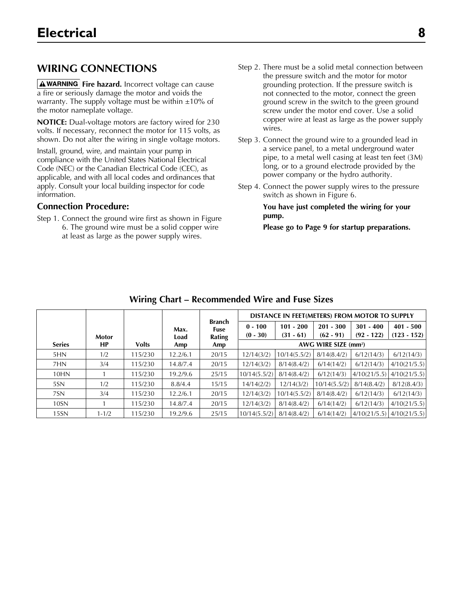# **WIRING CONNECTIONS**

**A WARNING** Fire hazard. Incorrect voltage can cause a fire or seriously damage the motor and voids the warranty. The supply voltage must be within  $\pm 10\%$  of the motor nameplate voltage.

**NOTICE:** Dual-voltage motors are factory wired for 230 volts. If necessary, reconnect the motor for 115 volts, as shown. Do not alter the wiring in single voltage motors.

Install, ground, wire, and maintain your pump in compliance with the United States National Electrical Code (NEC) or the Canadian Electrical Code (CEC), as applicable, and with all local codes and ordinances that apply. Consult your local building inspector for code information.

### **Connection Procedure:**

Step 1. Connect the ground wire first as shown in Figure 6. The ground wire must be a solid copper wire at least as large as the power supply wires.

- Step 2. There must be a solid metal connection between the pressure switch and the motor for motor grounding protection. If the pressure switch is not connected to the motor, connect the green ground screw in the switch to the green ground screw under the motor end cover. Use a solid copper wire at least as large as the power supply wires.
- Step 3. Connect the ground wire to a grounded lead in a service panel, to a metal underground water pipe, to a metal well casing at least ten feet (3M) long, or to a ground electrode provided by the power company or the hydro authority.
- Step 4. Connect the power supply wires to the pressure switch as shown in Figure 6.

**You have just completed the wiring for your pump.** 

**Please go to Page 9 for startup preparations.**

|                  |              |              |          |                |              | DISTANCE IN FEET(METERS) FROM MOTOR TO SUPPLY |              |              |               |
|------------------|--------------|--------------|----------|----------------|--------------|-----------------------------------------------|--------------|--------------|---------------|
|                  |              |              | Max.     | Branch<br>Fuse | $0 - 100$    | $101 - 200$                                   | $201 - 300$  | $301 - 400$  | $401 - 500$   |
|                  | <b>Motor</b> |              | Load     | Rating         | $(0 - 30)$   | $(31 - 61)$                                   | $(62 - 91)$  | $(92 - 122)$ | $(123 - 152)$ |
| <b>Series</b>    | НP           | <b>Volts</b> | Amp      | Amp            |              | AWG WIRE SIZE (mm <sup>2</sup> )              |              |              |               |
| 5HN              | 1/2          | 115/230      | 12.2/6.1 | 20/15          | 12/14(3/2)   | 10/14(5.5/2)                                  | 8/14(8.4/2)  | 6/12(14/3)   | 6/12(14/3)    |
| 7HN              | 3/4          | 115/230      | 14.8/7.4 | 20/15          | 12/14(3/2)   | 8/14(8.4/2)                                   | 6/14(14/2)   | 6/12(14/3)   | 4/10(21/5.5)  |
| 10HN             |              | 115/230      | 19.2/9.6 | 25/15          | 10/14(5.5/2) | 8/14(8.4/2)                                   | 6/12(14/3)   | 4/10(21/5.5) | 4/10(21/5.5)  |
| 5SN              | 1/2          | 115/230      | 8.8/4.4  | 15/15          | 14/14(2/2)   | 12/14(3/2)                                    | 10/14(5.5/2) | 8/14(8.4/2)  | 8/12(8.4/3)   |
| 7SN              | 3/4          | 115/230      | 12.2/6.1 | 20/15          | 12/14(3/2)   | 10/14(5.5/2)                                  | 8/14(8.4/2)  | 6/12(14/3)   | 6/12(14/3)    |
| 10 <sub>SN</sub> |              | 115/230      | 14.8/7.4 | 20/15          | 12/14(3/2)   | 8/14(8.4/2)                                   | 6/14(14/2)   | 6/12(14/3)   | 4/10(21/5.5)  |
| 15 <sub>SN</sub> | $1 - 1/2$    | 115/230      | 19.2/9.6 | 25/15          | 10/14(5.5/2) | 8/14(8.4/2)                                   | 6/14(14/2)   | 4/10(21/5.5) | 4/10(21/5.5)  |

### **Wiring Chart – Recommended Wire and Fuse Sizes**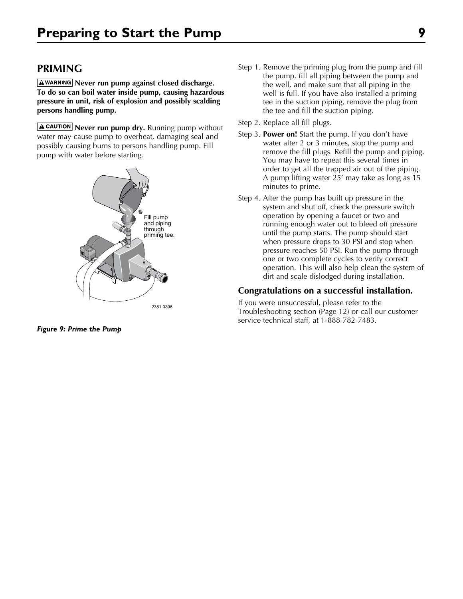# **PRIMING**

**AWARNING** Never run pump against closed discharge. **To do so can boil water inside pump, causing hazardous pressure in unit, risk of explosion and possibly scalding persons handling pump.**

**A CAUTION** Never run pump dry. Running pump without water may cause pump to overheat, damaging seal and possibly causing burns to persons handling pump. Fill pump with water before starting.



*Figure 9: Prime the Pump*

- Step 1. Remove the priming plug from the pump and fill the pump, fill all piping between the pump and the well, and make sure that all piping in the well is full. If you have also installed a priming tee in the suction piping, remove the plug from the tee and fill the suction piping.
- Step 2. Replace all fill plugs.
- Step 3. **Power on!** Start the pump. If you don't have water after 2 or 3 minutes, stop the pump and remove the fill plugs. Refill the pump and piping. You may have to repeat this several times in order to get all the trapped air out of the piping. A pump lifting water 25' may take as long as 15 minutes to prime.
- Step 4. After the pump has built up pressure in the system and shut off, check the pressure switch operation by opening a faucet or two and running enough water out to bleed off pressure until the pump starts. The pump should start when pressure drops to 30 PSI and stop when pressure reaches 50 PSI. Run the pump through one or two complete cycles to verify correct operation. This will also help clean the system of dirt and scale dislodged during installation.

### **Congratulations on a successful installation.**

If you were unsuccessful, please refer to the Troubleshooting section (Page 12) or call our customer service technical staff, at 1-888-782-7483.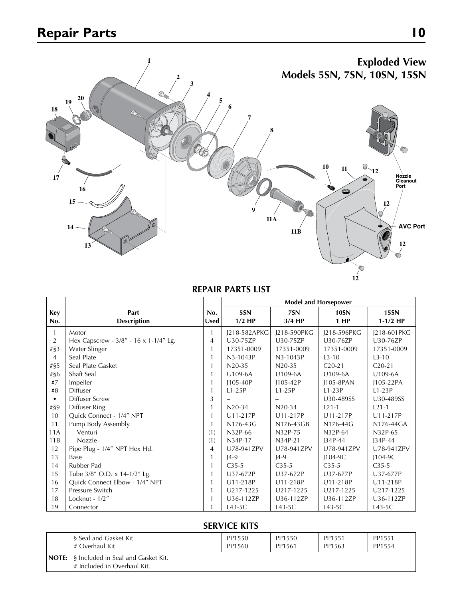

### **REPAIR PARTS LIST**

|                |                                       |             | <b>Model and Horsepower</b> |              |             |             |  |  |
|----------------|---------------------------------------|-------------|-----------------------------|--------------|-------------|-------------|--|--|
| <b>Key</b>     | Part                                  | No.         | 5SN                         | 7SN          | <b>10SN</b> | <b>15SN</b> |  |  |
| No.            | <b>Description</b>                    | <b>Used</b> | $1/2$ HP                    | $3/4$ HP     | 1 HP        | $1-1/2$ HP  |  |  |
| 1              | Motor                                 | 1           | J218-582APKG                | I218-590PKG  | J218-596PKG | J218-601PKG |  |  |
| 2              | Hex Capscrew - 3/8" - 16 x 1-1/4" Lg. | 4           | U30-75ZP                    | U30-75ZP     | U30-76ZP    | U30-76ZP    |  |  |
| $\# \S 3$      | Water Slinger                         |             | 17351-0009                  | 17351-0009   | 17351-0009  | 17351-0009  |  |  |
| $\overline{4}$ | Seal Plate                            |             | $N3-1043P$                  | N3-1043P     | $1.3 - 10$  | $L3 - 10$   |  |  |
| $\# \S 5$      | Seal Plate Gasket                     | 1           | $N20-35$                    | $N20-35$     | $C20-21$    | $C20-21$    |  |  |
| #§6            | Shaft Seal                            | 1           | U109-6A                     | U109-6A      | U109-6A     | U109-6A     |  |  |
| #7             | Impeller                              |             | $1105 - 40P$                | $1105 - 42P$ | 1105-8PAN   | 1105-22PA   |  |  |
| #8             | <b>Diffuser</b>                       | 1           | $L1-25P$                    | $L1-25P$     | $L1-23P$    | $L1-23P$    |  |  |
|                | <b>Diffuser Screw</b>                 | 3           |                             |              | U30-489SS   | U30-489SS   |  |  |
| $\# \S 9$      | Diffuser Ring                         |             | $N20-34$                    | $N20-34$     | $1.21 - 1$  | $1.21 - 1$  |  |  |
| 10             | Quick Connect - 1/4" NPT              |             | U11-217P                    | U11-217P     | U11-217P    | U11-217P    |  |  |
| 11             | Pump Body Assembly                    |             | N176-43G                    | N176-43GB    | N176-44G    | N176-44GA   |  |  |
| 11A            | Venturi                               | (1)         | N32P-66                     | N32P-75      | N32P-64     | N32P-65     |  |  |
| 11B            | Nozzle                                | (1)         | N34P-17                     | N34P-21      | $J34P-44$   | $J34P-44$   |  |  |
| 12             | Pipe Plug - 1/4" NPT Hex Hd.          | 4           | U78-941ZPV                  | U78-941ZPV   | U78-941ZPV  | U78-941ZPV  |  |  |
| 13             | Base                                  |             | $14-9$                      | $14-9$       | $1104-9C$   | $1104-9C$   |  |  |
| 14             | Rubber Pad                            | 1           | $C35-5$                     | $C35-5$      | $C35-5$     | $C35-5$     |  |  |
| 15             | Tube 3/8" O.D. x 14-1/2" Lg.          | 1           | U37-672P                    | U37-672P     | U37-677P    | U37-677P    |  |  |
| 16             | Quick Connect Elbow - 1/4" NPT        | 1           | U11-218P                    | U11-218P     | U11-218P    | U11-218P    |  |  |
| 17             | Pressure Switch                       |             | U217-1225                   | U217-1225    | U217-1225   | U217-1225   |  |  |
| 18             | Locknut - 1/2"                        |             | U36-112ZP                   | U36-112ZP    | U36-112ZP   | U36-112ZP   |  |  |
| 19             | Connector                             |             | $L43-5C$                    | $L43-5C$     | $L43-5C$    | $L43-5C$    |  |  |

### **SERVICE KITS**

| § Seal and Gasket Kit                                                          | PP1550 | PP1550 | PP1551 | PP1551 |
|--------------------------------------------------------------------------------|--------|--------|--------|--------|
| # Overhaul Kit                                                                 | PP1560 | PP1561 | PP1563 | PP1554 |
| <b>NOTE:</b> § Included in Seal and Gasket Kit.<br># Included in Overhaul Kit. |        |        |        |        |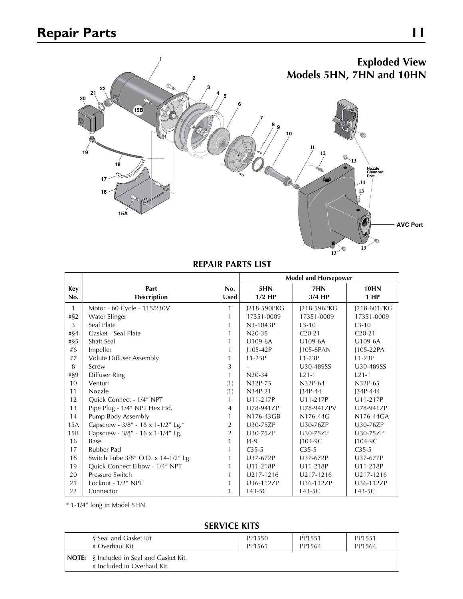

**REPAIR PARTS LIST**

|              |                                     |                | <b>Model and Horsepower</b> |             |             |  |  |
|--------------|-------------------------------------|----------------|-----------------------------|-------------|-------------|--|--|
| Key          | Part                                | No.            | 5HN                         | 7HN         | <b>10HN</b> |  |  |
| No.          | <b>Description</b>                  | <b>Used</b>    | $1/2$ HP                    | $3/4$ HP    | 1 HP        |  |  |
| $\mathbf{1}$ | Motor - 60 Cycle - 115/230V         | 1              | J218-590PKG                 | J218-596PKG | J218-601PKG |  |  |
| $\#$ \$2     | Water Slinger                       | 1              | 17351-0009                  | 17351-0009  | 17351-0009  |  |  |
| 3            | Seal Plate                          | 1              | N3-1043P                    | $1.3 - 10$  | $L3-10$     |  |  |
| #§4          | Gasket - Seal Plate                 | 1              | $N20-35$                    | $C_{20-21}$ | $C_{20-21}$ |  |  |
| $\# \S 5$    | Shaft Seal                          | 1              | U109-6A                     | U109-6A     | U109-6A     |  |  |
| #6           | Impeller                            | 1              | J105-42P                    | 1105-8PAN   | J105-22PA   |  |  |
| #7           | Volute Diffuser Assembly            | 1              | $L1-25P$                    | $L1-23P$    | $L1-23P$    |  |  |
| 8            | Screw                               | 3              |                             | U30-489SS   | U30-489SS   |  |  |
| #§9          | Diffuser Ring                       | 1              | $N20-34$                    | $1.21 - 1$  | $L21-1$     |  |  |
| 10           | Venturi                             | (1)            | N32P-75                     | N32P-64     | N32P-65     |  |  |
| 11           | <b>Nozzle</b>                       | (1)            | N34P-21                     | $134P-44$   | I34P-444    |  |  |
| 12           | Quick Connect - 1/4" NPT            | 1              | U11-217P                    | U11-217P    | U11-217P    |  |  |
| 13           | Pipe Plug - 1/4" NPT Hex Hd.        | 4              | U78-941ZP                   | U78-941ZPV  | U78-941ZP   |  |  |
| 14           | Pump Body Assembly                  | 1              | N176-43GB                   | N176-44G    | N176-44GA   |  |  |
| 15A          | Capscrew - 3/8" - 16 x 1-1/2" Lg.*  | $\overline{2}$ | U30-75ZP                    | U30-76ZP    | U30-76ZP    |  |  |
| 15B          | Capscrew - 3/8" - 16 x 1-1/4" Lg.   | $\overline{2}$ | U30-75ZP                    | U30-75ZP    | U30-75ZP    |  |  |
| 16           | Base                                | 1              | $J4-9$                      | $1104-9C$   | $1104-9C$   |  |  |
| 17           | Rubber Pad                          | 1              | $C35-5$                     | $C35-5$     | $C35-5$     |  |  |
| 18           | Switch Tube 3/8" O.D. x 14-1/2" Lg. | 1              | U37-672P                    | U37-672P    | U37-677P    |  |  |
| 19           | Quick Connect Elbow - 1/4" NPT      | 1              | U11-218P                    | U11-218P    | U11-218P    |  |  |
| 20           | Pressure Switch                     | 1              | U217-1216                   | U217-1216   | U217-1216   |  |  |
| 21           | Locknut - 1/2" NPT                  | 1              | U36-112ZP                   | U36-112ZP   | U36-112ZP   |  |  |
| 22           | Connector                           | 1              | $L43-5C$                    | $L43-5C$    | $L43-5C$    |  |  |

\* 1-1/4" long in Model 5HN.

### **SERVICE KITS**

| § Seal and Gasket Kit                                                          | PP1550 | PP1551 | PP1551 |
|--------------------------------------------------------------------------------|--------|--------|--------|
| # Overhaul Kit                                                                 | PP1561 | PP1564 | PP1564 |
| <b>NOTE:</b> § Included in Seal and Gasket Kit.<br># Included in Overhaul Kit. |        |        |        |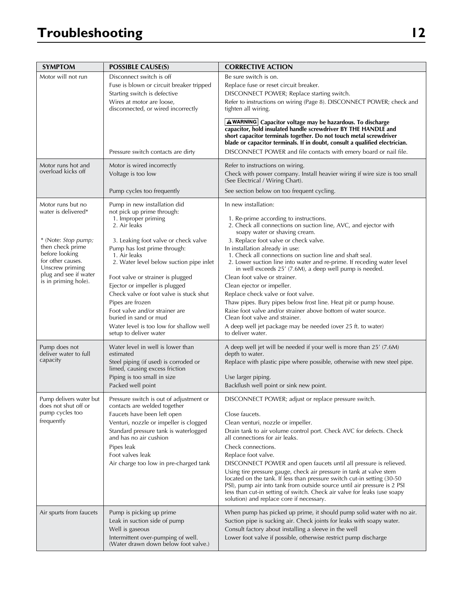# **Troubleshooting 12**

| <b>SYMPTOM</b>                                                                                                             | <b>POSSIBLE CAUSE(S)</b>                                                                                                                                                                                                                                                                        | <b>CORRECTIVE ACTION</b>                                                                                                                                                                                                                                                                                                                                                                                                                                                                                                                                                                                                                                                                       |
|----------------------------------------------------------------------------------------------------------------------------|-------------------------------------------------------------------------------------------------------------------------------------------------------------------------------------------------------------------------------------------------------------------------------------------------|------------------------------------------------------------------------------------------------------------------------------------------------------------------------------------------------------------------------------------------------------------------------------------------------------------------------------------------------------------------------------------------------------------------------------------------------------------------------------------------------------------------------------------------------------------------------------------------------------------------------------------------------------------------------------------------------|
| Motor will not run                                                                                                         | Disconnect switch is off<br>Fuse is blown or circuit breaker tripped<br>Starting switch is defective<br>Wires at motor are loose,<br>disconnected, or wired incorrectly                                                                                                                         | Be sure switch is on.<br>Replace fuse or reset circuit breaker.<br>DISCONNECT POWER; Replace starting switch.<br>Refer to instructions on wiring (Page 8). DISCONNECT POWER; check and<br>tighten all wiring.                                                                                                                                                                                                                                                                                                                                                                                                                                                                                  |
|                                                                                                                            | Pressure switch contacts are dirty                                                                                                                                                                                                                                                              | AWARNING Capacitor voltage may be hazardous. To discharge<br>capacitor, hold insulated handle screwdriver BY THE HANDLE and<br>short capacitor terminals together. Do not touch metal screwdriver<br>blade or capacitor terminals. If in doubt, consult a qualified electrician.<br>DISCONNECT POWER and file contacts with emery board or nail file.                                                                                                                                                                                                                                                                                                                                          |
| Motor runs hot and<br>overload kicks off                                                                                   | Motor is wired incorrectly<br>Voltage is too low                                                                                                                                                                                                                                                | Refer to instructions on wiring.<br>Check with power company. Install heavier wiring if wire size is too small<br>(See Electrical / Wiring Chart).                                                                                                                                                                                                                                                                                                                                                                                                                                                                                                                                             |
|                                                                                                                            | Pump cycles too frequently                                                                                                                                                                                                                                                                      | See section below on too frequent cycling.                                                                                                                                                                                                                                                                                                                                                                                                                                                                                                                                                                                                                                                     |
| Motor runs but no<br>water is delivered*                                                                                   | Pump in new installation did<br>not pick up prime through:<br>1. Improper priming<br>2. Air leaks                                                                                                                                                                                               | In new installation:<br>1. Re-prime according to instructions.<br>2. Check all connections on suction line, AVC, and ejector with                                                                                                                                                                                                                                                                                                                                                                                                                                                                                                                                                              |
| * (Note: Stop pump;<br>then check prime<br>before looking<br>for other causes.<br>Unscrew priming<br>plug and see if water | 3. Leaking foot valve or check valve<br>Pump has lost prime through:<br>1. Air leaks<br>2. Water level below suction pipe inlet                                                                                                                                                                 | soapy water or shaving cream.<br>3. Replace foot valve or check valve.<br>In installation already in use:<br>1. Check all connections on suction line and shaft seal.<br>2. Lower suction line into water and re-prime. If receding water level<br>in well exceeds 25' (7.6M), a deep well pump is needed.                                                                                                                                                                                                                                                                                                                                                                                     |
| is in priming hole).                                                                                                       | Foot valve or strainer is plugged<br>Ejector or impeller is plugged<br>Check valve or foot valve is stuck shut<br>Pipes are frozen<br>Foot valve and/or strainer are<br>buried in sand or mud<br>Water level is too low for shallow well                                                        | Clean foot valve or strainer.<br>Clean ejector or impeller.<br>Replace check valve or foot valve.<br>Thaw pipes. Bury pipes below frost line. Heat pit or pump house.<br>Raise foot valve and/or strainer above bottom of water source.<br>Clean foot valve and strainer.<br>A deep well jet package may be needed (over 25 ft. to water)                                                                                                                                                                                                                                                                                                                                                      |
|                                                                                                                            | setup to deliver water                                                                                                                                                                                                                                                                          | to deliver water.                                                                                                                                                                                                                                                                                                                                                                                                                                                                                                                                                                                                                                                                              |
| Pump does not<br>deliver water to full<br>capacity                                                                         | Water level in well is lower than<br>estimated<br>Steel piping (if used) is corroded or<br>limed, causing excess friction<br>Piping is too small in size<br>Packed well point                                                                                                                   | A deep well jet will be needed if your well is more than 25' (7.6M)<br>depth to water.<br>Replace with plastic pipe where possible, otherwise with new steel pipe.<br>Use larger piping.<br>Backflush well point or sink new point.                                                                                                                                                                                                                                                                                                                                                                                                                                                            |
| Pump delivers water but<br>does not shut off or<br>pump cycles too<br>frequently                                           | Pressure switch is out of adjustment or<br>contacts are welded together<br>Faucets have been left open<br>Venturi, nozzle or impeller is clogged<br>Standard pressure tank is waterlogged<br>and has no air cushion<br>Pipes leak<br>Foot valves leak<br>Air charge too low in pre-charged tank | DISCONNECT POWER; adjust or replace pressure switch.<br>Close faucets.<br>Clean venturi, nozzle or impeller.<br>Drain tank to air volume control port. Check AVC for defects. Check<br>all connections for air leaks.<br>Check connections.<br>Replace foot valve.<br>DISCONNECT POWER and open faucets until all pressure is relieved.<br>Using tire pressure gauge, check air pressure in tank at valve stem<br>located on the tank. If less than pressure switch cut-in setting (30-50)<br>PSI), pump air into tank from outside source until air pressure is 2 PSI<br>less than cut-in setting of switch. Check air valve for leaks (use soapy<br>solution) and replace core if necessary. |
| Air spurts from faucets                                                                                                    | Pump is picking up prime<br>Leak in suction side of pump<br>Well is gaseous<br>Intermittent over-pumping of well.<br>(Water drawn down below foot valve.)                                                                                                                                       | When pump has picked up prime, it should pump solid water with no air.<br>Suction pipe is sucking air. Check joints for leaks with soapy water.<br>Consult factory about installing a sleeve in the well<br>Lower foot valve if possible, otherwise restrict pump discharge                                                                                                                                                                                                                                                                                                                                                                                                                    |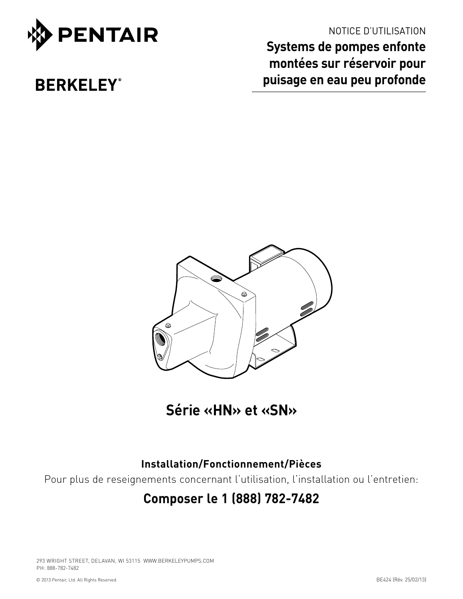

# NOTICE D'UTILISATION

**Systems de pompes enfonte montées sur réservoir pour puisage en eau peu profonde**

# **BERKELEY®**



**Série «HN» et «SN»**

# **Installation/Fonctionnement/Pièces**

Pour plus de reseignements concernant l'utilisation, l'installation ou l'entretien:

# **Composer le 1 (888) 782-7482**

293 WRIGHT STREET, DELAVAN, WI 53115 WWW.BERKELEYPUMPS.COM PH: 888-782-7482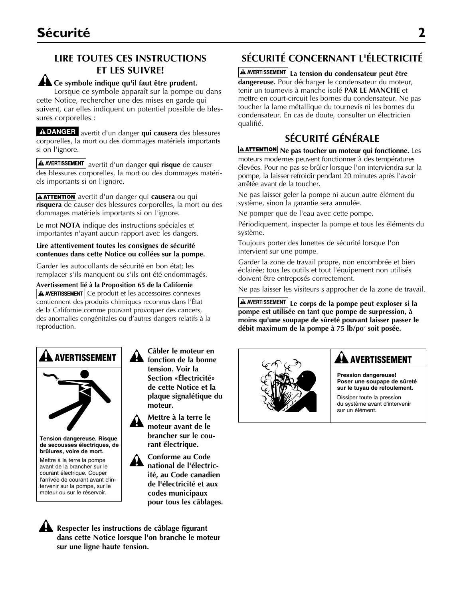# **LIRE TOUTES CES INSTRUCTIONS ET LES SUIVRE!**

### **Ce symbole indique qu'il faut être prudent.**

Lorsque ce symbole apparaît sur la pompe ou dans cette Notice, rechercher une des mises en garde qui suivent, car elles indiquent un potentiel possible de blessures corporelles :

A DANGER avertit d'un danger qui causera des blessures corporelles, la mort ou des dommages matériels importants si on l'ignore.

A AVERTISSEMENT avertit d'un danger qui risque de causer des blessures corporelles, la mort ou des dommages matériels importants si on l'ignore.

**A ATTENTION** avertit d'un danger qui **causera** ou qui **risquera** de causer des blessures corporelles, la mort ou des dommages matériels importants si on l'ignore.

Le mot **NOTA** indique des instructions spéciales et importantes n'ayant aucun rapport avec les dangers.

#### **Lire attentivement toutes les consignes de sécurité contenues dans cette Notice ou collées sur la pompe.**

Garder les autocollants de sécurité en bon état; les remplacer s'ils manquent ou s'ils ont été endommagés.

**Avertissement lié à la Proposition 65 de la Californie**   $\Delta$  AVERTISSEMENT Ce produit et les accessoires connexes contiennent des produits chimiques reconnus dans l'État de la Californie comme pouvant provoquer des cancers, des anomalies congénitales ou d'autres dangers relatifs à la reproduction.



**Tension dangereuse. Risque de secousses électriques, de brûlures, voire de mort.** Mettre à la terre la pompe avant de la brancher sur le courant électrique. Couper l'arrivée de courant avant d'intervenir sur la pompe, sur le moteur ou sur le réservoir.

**Câbler le moteur en fonction de la bonne tension. Voir la Section «Électricité» de cette Notice et la plaque signalétique du moteur.**

**Mettre à la terre le moteur avant de le brancher sur le courant électrique.**

**Conforme au Code national de l'électricité, au Code canadien de l'électricité et aux codes municipaux pour tous les câblages.**

**Respecter les instructions de câblage figurant dans cette Notice lorsque l'on branche le moteur sur une ligne haute tension.**

# **SÉCURITÉ CONCERNANT L'ÉLECTRICITÉ**

**La tension du condensateur peut être**  dangereuse. Pour décharger le condensateur du moteur, tenir un tournevis à manche isolé **PAR LE MANCHE** et mettre en court-circuit les bornes du condensateur. Ne pas toucher la lame métallique du tournevis ni les bornes du condensateur. En cas de doute, consulter un électricien qualifié.

# **SÉCURITÉ GÉNÉRALE**

**AATTENTION** Ne pas toucher un moteur qui fonctionne. Les moteurs modernes peuvent fonctionner à des températures élevées. Pour ne pas se brûler lorsque l'on interviendra sur la pompe, la laisser refroidir pendant 20 minutes après l'avoir arrêtée avant de la toucher.

Ne pas laisser geler la pompe ni aucun autre élément du système, sinon la garantie sera annulée.

Ne pomper que de l'eau avec cette pompe.

Périodiquement, inspecter la pompe et tous les éléments du système.

Toujours porter des lunettes de sécurité lorsque l'on intervient sur une pompe.

Garder la zone de travail propre, non encombrée et bien éclairée; tous les outils et tout l'équipement non utilisés doivent être entreposés correctement.

Ne pas laisser les visiteurs s'approcher de la zone de travail.

**A AVERTISSEMENT** Le corps de la pompe peut exploser si la **pompe est utilisée en tant que pompe de surpression, à moins qu'une soupape de sûreté pouvant laisser passer le débit maximum de la pompe à 75 lb/po2 soit posée.**



# **AA** AVERTISSEMENT

**Pression dangereuse! Poser une soupape de sûreté sur le tuyau de refoulement.**

Dissiper toute la pression du système avant d'intervenir sur un élément.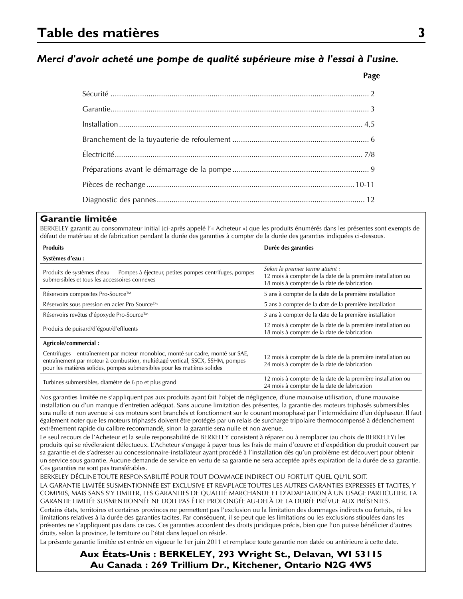# *Merci d'avoir acheté une pompe de qualité supérieure mise à l'essai à l'usine.*

**Page**

### **Garantie limitée**

BERKELEY garantit au consommateur initial (ci-après appelé l'« Acheteur ») que les produits énumérés dans les présentes sont exempts de défaut de matériau et de fabrication pendant la durée des garanties à compter de la durée des garanties indiquées ci-dessous.

| <b>Produits</b>                                                                                                                                                                                                                              | Durée des garanties                                                                                                                            |  |  |  |
|----------------------------------------------------------------------------------------------------------------------------------------------------------------------------------------------------------------------------------------------|------------------------------------------------------------------------------------------------------------------------------------------------|--|--|--|
| Systèmes d'eau :                                                                                                                                                                                                                             |                                                                                                                                                |  |  |  |
| Produits de systèmes d'eau — Pompes à éjecteur, petites pompes centrifuges, pompes<br>submersibles et tous les accessoires connexes                                                                                                          | Selon le premier terme atteint :<br>12 mois à compter de la date de la première installation ou<br>18 mois à compter de la date de fabrication |  |  |  |
| Réservoirs composites Pro-Source™                                                                                                                                                                                                            | 5 ans à compter de la date de la première installation                                                                                         |  |  |  |
| Réservoirs sous pression en acier Pro-Source™                                                                                                                                                                                                | 5 ans à compter de la date de la première installation                                                                                         |  |  |  |
| Réservoirs revêtus d'époxyde Pro-Source™                                                                                                                                                                                                     | 3 ans à compter de la date de la première installation                                                                                         |  |  |  |
| Produits de puisard/d'égout/d'effluents                                                                                                                                                                                                      | 12 mois à compter de la date de la première installation ou<br>18 mois à compter de la date de fabrication                                     |  |  |  |
| Agricole/commercial:                                                                                                                                                                                                                         |                                                                                                                                                |  |  |  |
| Centrifuges – entraînement par moteur monobloc, monté sur cadre, monté sur SAE,<br>entraînement par moteur à combustion, multiétagé vertical, SSCX, SSHM, pompes<br>pour les matières solides, pompes submersibles pour les matières solides | 12 mois à compter de la date de la première installation ou<br>24 mois à compter de la date de fabrication                                     |  |  |  |
| Turbines submersibles, diamètre de 6 po et plus grand                                                                                                                                                                                        | 12 mois à compter de la date de la première installation ou<br>24 mois à compter de la date de fabrication                                     |  |  |  |

Nos garanties limitée ne s'appliquent pas aux produits ayant fait l'objet de négligence, d'une mauvaise utilisation, d'une mauvaise installation ou d'un manque d'entretien adéquat. Sans aucune limitation des présentes, la garantie des moteurs triphasés submersibles sera nulle et non avenue si ces moteurs sont branchés et fonctionnent sur le courant monophasé par l'intermédiaire d'un déphaseur. Il faut également noter que les moteurs triphasés doivent être protégés par un relais de surcharge tripolaire thermocompensé à déclenchement extrêmement rapide du calibre recommandé, sinon la garantie sera nulle et non avenue.

Le seul recours de l'Acheteur et la seule responsabilité de BERKELEY consistent à réparer ou à remplacer (au choix de BERKELEY) les produits qui se révéleraient défectueux. L'Acheteur s'engage à payer tous les frais de main d'œuvre et d'expédition du produit couvert par sa garantie et de s'adresser au concessionnaire-installateur ayant procédé à l'installation dès qu'un problème est découvert pour obtenir un service sous garantie. Aucune demande de service en vertu de sa garantie ne sera acceptée après expiration de la durée de sa garantie. Ces garanties ne sont pas transférables.

BERKELEY DÉCLINE TOUTE RESPONSABILITÉ POUR TOUT DOMMAGE INDIRECT OU FORTUIT QUEL QU'IL SOIT. LA GARANTIE LIMITÉE SUSMENTIONNÉE EST EXCLUSIVE ET REMPLACE TOUTES LES AUTRES GARANTIES EXPRESSES ET TACITES, Y COMPRIS, MAIS SANS S'Y LIMITER, LES GARANTIES DE QUALITÉ MARCHANDE ET D'ADAPTATION À UN USAGE PARTICULIER. LA GARANTIE LIMITÉE SUSMENTIONNÉE NE DOIT PAS ÊTRE PROLONGÉE AU-DELÀ DE LA DURÉE PRÉVUE AUX PRÉSENTES.

Certains états, territoires et certaines provinces ne permettent pas l'exclusion ou la limitation des dommages indirects ou fortuits, ni les limitations relatives à la durée des garanties tacites. Par conséquent, il se peut que les limitations ou les exclusions stipulées dans les présentes ne s'appliquent pas dans ce cas. Ces garanties accordent des droits juridiques précis, bien que l'on puisse bénéficier d'autres droits, selon la province, le territoire ou l'état dans lequel on réside.

La présente garantie limitée est entrée en vigueur le 1er juin 2011 et remplace toute garantie non datée ou antérieure à cette date.

**Aux États-Unis : BERKELEY, 293 Wright St., Delavan, WI 53115 Au Canada : 269 Trillium Dr., Kitchener, Ontario N2G 4W5**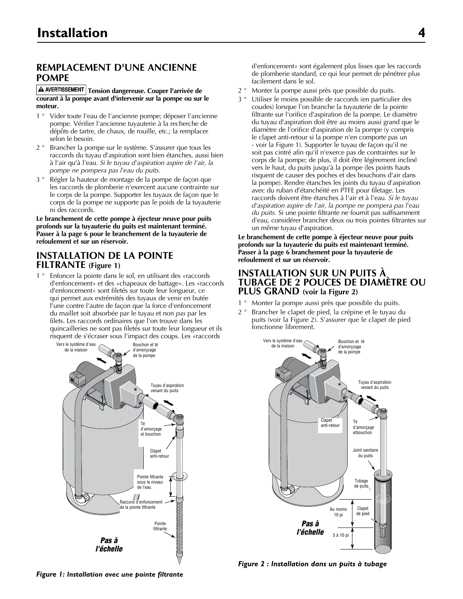## **REMPLACEMENT D'UNE ANCIENNE POMPE**

#### A AVERTISSEMENT | Tension dangereuse. Couper l'arrivée de **courant à la pompe avant d'intervenir sur la pompe ou sur le moteur.**

- 1 ° Vider toute l'eau de l'ancienne pompe; déposer l'ancienne pompe. Vérifier l'ancienne tuyauterie à la recherche de dépôts de tartre, de chaux, de rouille, etc.; la remplacer selon le besoin.
- 2 ° Brancher la pompe sur le système. S'assurer que tous les raccords du tuyau d'aspiration sont bien étanches, aussi bien à l'air qu'à l'eau. *Si le tuyau d'aspiration aspire de l'air, la pompe ne pompera pas l'eau du puits.*
- 3 ° Régler la hauteur de montage de la pompe de façon que les raccords de plomberie n'exercent aucune contrainte sur le corps de la pompe. Supporter les tuyaux de façon que le corps de la pompe ne supporte pas le poids de la tuyauterie ni des raccords.

**Le branchement de cette pompe à éjecteur neuve pour puits profonds sur la tuyauterie du puits est maintenant terminé. Passer à la page 6 pour le branchement de la tuyauterie de refoulement et sur un réservoir.**

### **INSTALLATION DE LA POINTE FILTRANTE (Figure 1)**

1<sup>°</sup> Enfoncer la pointe dans le sol, en utilisant des «raccords d'enfoncement» et des «chapeaux de battage». Les «raccords d'enfoncement» sont filetés sur toute leur longueur, ce qui permet aux extrémités des tuyaux de venir en butée l'une contre l'autre de façon que la force d'enfoncement du maillet soit absorbée par le tuyau et non *pas* par les filets. Les raccords ordinaires que l'on trouve dans les quincailleries ne sont pas filetés sur toute leur longueur et ils risquent de s'écraser sous l'impact des coups. Les «raccords



d'enfoncement» sont également plus lisses que les raccords de plomberie standard, ce qui leur permet de pénétrer plus facilement dans le sol.

- 2 ° Monter la pompe aussi près que possible du puits.
- 3 ° Utiliser le moins possible de raccords (en particulier des coudes) lorsque l'on branche la tuyauterie de la pointe filtrante sur l'orifice d'aspiration de la pompe. Le diamètre du tuyau d'aspiration doit être au moins aussi grand que le diamètre de l'orifice d'aspiration de la pompe (y compris le clapet anti-retour si la pompe n'en comporte pas un - voir la Figure 1). Supporter le tuyau de façon qu'il ne soit pas cintré afin qu'il n'exerce pas de contraintes sur le corps de la pompe; de plus, il doit être légèrement incliné vers le haut, du puits jusqu'à la pompe (les points hauts risquent de causer des poches et des bouchons d'air dans la pompe). Rendre étanches les joints du tuyau d'aspiration avec du ruban d'étanchéité en PTFE pour filetage. Les raccords doivent être étanches à l'air et à l'eau. *Si le tuyau d'aspiration aspire de l'air, la pompe ne pompera pas l'eau du puits.* Si une pointe filtrante ne fournit pas suffisamment d'eau, considérer brancher deux ou trois pointes filtrantes sur un même tuyau d'aspiration.

**Le branchement de cette pompe à éjecteur neuve pour puits profonds sur la tuyauterie du puits est maintenant terminé. Passer à la page 6 branchement pour la tuyauterie de refoulement et sur un réservoir.**

### **INSTALLATION SUR UN PUITS À TUBAGE DE 2 POUCES DE DIAMÈTRE OU PLUS GRAND (voir la Figure 2)**

- 1 ° Monter la pompe aussi près que possible du puits.
- 2 ° Brancher le clapet de pied, la crépine et le tuyau du puits (voir la Figure 2). S'assurer que le clapet de pied fonctionne librement.



*Figure 2 : Installation dans un puits à tubage* 2347 0396

*Figure 1: Installation avec une pointe filtrante* 2346 0396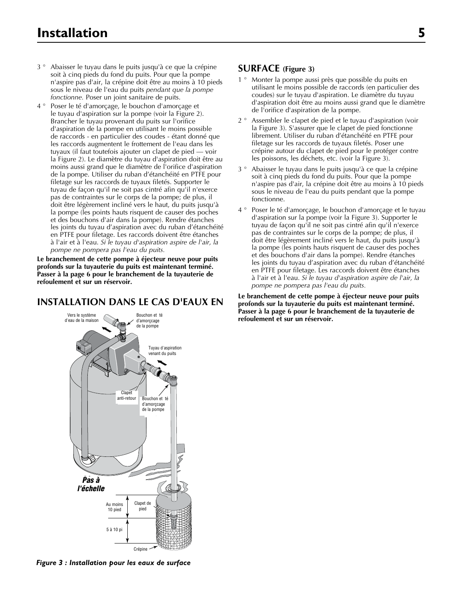- 3 ° Abaisser le tuyau dans le puits jusqu'à ce que la crépine soit à cinq pieds du fond du puits. Pour que la pompe n'aspire pas d'air, la crépine doit être au moins à 10 pieds sous le niveau de l'eau du puits *pendant que la pompe fonctionne.* Poser un joint sanitaire de puits.
- 4 ° Poser le té d'amorçage, le bouchon d'amorçage et le tuyau d'aspiration sur la pompe (voir la Figure 2). Brancher le tuyau provenant du puits sur l'orifice d'aspiration de la pompe en utilisant le moins possible de raccords - en particulier des coudes - étant donné que les raccords augmentent le frottement de l'eau dans les tuyaux (il faut toutefois ajouter un clapet de pied — voir la Figure 2). Le diamètre du tuyau d'aspiration doit être au moins aussi grand que le diamètre de l'orifice d'aspiration de la pompe. Utiliser du ruban d'étanchéité en PTFE pour filetage sur les raccords de tuyaux filetés. Supporter le tuyau de façon qu'il ne soit pas cintré afin qu'il n'exerce pas de contraintes sur le corps de la pompe; de plus, il doit être légèrement incliné vers le haut, du puits jusqu'à la pompe (les points hauts risquent de causer des poches et des bouchons d'air dans la pompe). Rendre étanches les joints du tuyau d'aspiration avec du ruban d'étanchéité en PTFE pour filetage. Les raccords doivent être étanches à l'air et à l'eau. *Si le tuyau d'aspiration aspire de l'air, la pompe ne pompera pas l'eau du puits.*

**Le branchement de cette pompe à éjecteur neuve pour puits profonds sur la tuyauterie du puits est maintenant terminé. Passer à la page 6 pour le branchement de la tuyauterie de refoulement et sur un réservoir.**

### **INSTALLATION DANS LE CAS D'EAUX EN**

# d'eau de la maison Bouchon et té<br>.. d'amorçcage<br>de la nomne  $Clapet$ anti-retour Pas à *to Pas àl'échelle* Tuyau d'aspiration venant du puits Au moins 10 pied 5–10' 5 à 10 pi Clapet de pied Crépine Bouchon et té unorçcage<br>Te nombe de la pompe Vers le système de la pompe d'amorçcage

2348 0396 *Figure 3 : Installation pour les eaux de surface*

### **SURFACE (Figure 3)**

- 1 ° Monter la pompe aussi près que possible du puits en utilisant le moins possible de raccords (en particulier des coudes) sur le tuyau d'aspiration. Le diamètre du tuyau d'aspiration doit être au moins aussi grand que le diamètre de l'orifice d'aspiration de la pompe.
- 2 ° Assembler le clapet de pied et le tuyau d'aspiration (voir la Figure 3). S'assurer que le clapet de pied fonctionne librement. Utiliser du ruban d'étanchéité en PTFE pour filetage sur les raccords de tuyaux filetés. Poser une crépine autour du clapet de pied pour le protéger contre les poissons, les déchets, etc. (voir la Figure 3).
- 3 ° Abaisser le tuyau dans le puits jusqu'à ce que la crépine soit à cinq pieds du fond du puits. Pour que la pompe n'aspire pas d'air, la crépine doit être au moins à 10 pieds sous le niveau de l'eau du puits pendant que la pompe fonctionne.
- 4 ° Poser le té d'amorçage, le bouchon d'amorçage et le tuyau d'aspiration sur la pompe (voir la Figure 3). Supporter le tuyau de façon qu'il ne soit pas cintré afin qu'il n'exerce pas de contraintes sur le corps de la pompe; de plus, il doit être légèrement incliné vers le haut, du puits jusqu'à la pompe (les points hauts risquent de causer des poches et des bouchons d'air dans la pompe). Rendre étanches les joints du tuyau d'aspiration avec du ruban d'étanchéité en PTFE pour filetage. Les raccords doivent être étanches à l'air et à l'eau. *Si le tuyau d'aspiration aspire de l'air, la pompe ne pompera pas l'eau du puits.*

**Le branchement de cette pompe à éjecteur neuve pour puits profonds sur la tuyauterie du puits est maintenant terminé. Passer à la page 6 pour le branchement de la tuyauterie de**  refoulement et sur un réservoir.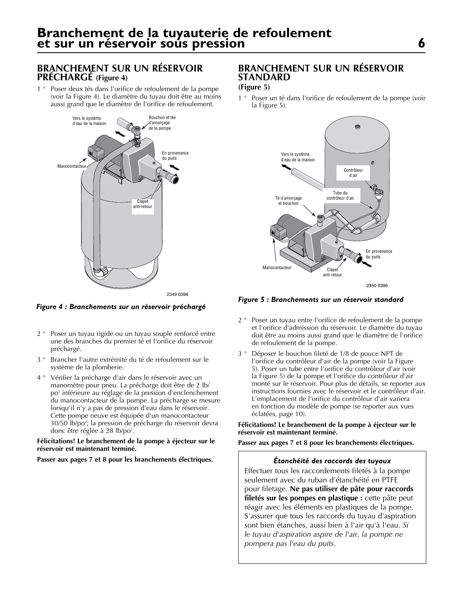# **BRANCHEMENT SUR UN RÉSERVOIR PRÉCHARGÉ (Figure 4)**

1 ° Poser deux tés dans l'orifice de refoulement de la pompe (voir la Figure 4). Le diamètre du tuyau doit être au moins aussi grand que le diamètre de l'orifice de refoulement.



*Figure 4 : Branchements sur un réservoir préchargé*

- 2 ° Poser un tuyau rigide ou un tuyau souple renforcé entre une des branches du premier té et l'orifice du réservoir préchargé.
- 3 ° Brancher l'autre extrémité du té de refoulement sur le système de la plomberie.
- 4 ° Vérifier la précharge d'air dans le réservoir avec un manomètre pour pneu. La précharge doit être de 2 lb/ po<sup>2</sup> inférieure au réglage de la pression d'enclenchement du manocontacteur de la pompe. La précharge se mesure lorsqu'il n'y a pas de pression d'eau dans le réservoir. Cette pompe neuve est équipée d'un manocontacteur 30/50 lb/po2 ; la pression de précharge du réservoir devra donc être réglée à 28 lb/po<sup>2</sup>.

#### **Félicitations! Le branchement de la pompe à éjecteur sur le réservoir est maintenant terminé.**

#### **Passer aux pages 7 et 8 pour les branchements électriques.**

## **BRANCHEMENT SUR UN RÉSERVOIR STANDARD**

### **(Figure 5)**

1 ° Poser un té dans l'orifice de refoulement de la pompe (voir la Figure 5).



*Figure 5 : Branchements sur un réservoir standard*

- 2 ° Poser un tuyau entre l'orifice de refoulement de la pompe et l'orifice d'admission du réservoir. Le diamètre du tuyau doit être au moins aussi grand que le diamètre de l'orifice de refoulement de la pompe.
- 3 ° Déposer le bouchon fileté de 1/8 de pouce NPT de l'orifice du contrôleur d'air de la pompe (voir la Figure 5). Poser un tube entre l'orifice du contrôleur d'air (voir la Figure 5) de la pompe et l'orifice du contrôleur d'air monté sur le réservoir. Pour plus de détails, se reporter aux instructions fournies avec le réservoir et le contrôleur d'air. L'emplacement de l'orifice du contrôleur d'air variera en fonction du modèle de pompe (se reporter aux vues éclatées, page 10).

#### **Félicitations! Le branchement de la pompe à éjecteur sur le réservoir est maintenant terminé.**

**Passer aux pages 7 et 8 pour les branchements électriques.**

#### *Étanchéité des raccords des tuyaux*

Effectuer tous les raccordements filetés à la pompe seulement avec du ruban d'étanchéité en PTFE pour filetage. **Ne pas utiliser de pâte pour raccords filetés sur les pompes en plastique :** cette pâte peut réagir avec les éléments en plastiques de la pompe. S'assurer que tous les raccords du tuyau d'aspiration sont bien étanches, aussi bien à l'air qu'à l'eau. *Si le tuyau d'aspiration aspire de l'air, la pompe ne pompera pas l'eau du puits.*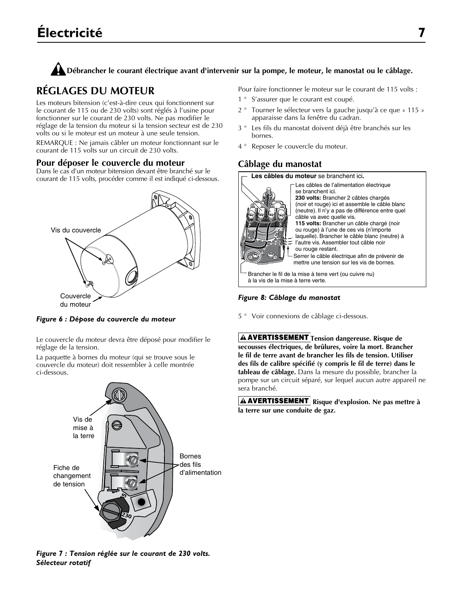## **Débrancher le courant électrique avant d'intervenir sur la pompe, le moteur, le manostat ou le câblage.**

# **RÉGLAGES DU MOTEUR**

Les moteurs bitension (c'est-à-dire ceux qui fonctionnent sur le courant de 115 ou de 230 volts) sont réglés à l'usine pour fonctionner sur le courant de 230 volts. Ne pas modifier le réglage de la tension du moteur si la tension secteur est de 230 volts ou si le moteur est un moteur à une seule tension.

REMARQUE : Ne jamais câbler un moteur fonctionnant sur le courant de 115 volts sur un circuit de 230 volts.

### **Pour déposer le couvercle du moteur**

Dans le cas d'un moteur bitension devant être branché sur le courant de 115 volts, procéder comme il est indiqué ci-dessous.



*Figure 6 : Dépose du couvercle du moteur*

Le couvercle du moteur devra être déposé pour modifier le réglage de la tension.

La paquette à bornes du moteur (qui se trouve sous le couvercle du moteur) doit ressembler à celle montrée ci-dessous.



*Figure 7 : Tension réglée sur le courant de 230 volts. Sélecteur rotatif*

Pour faire fonctionner le moteur sur le courant de 115 volts :

- 1 ° S'assurer que le courant est coupé.
- 2 ° Tourner le sélecteur vers la gauche jusqu'à ce que « 115 » apparaisse dans la fenêtre du cadran.
- 3 ° Les fils du manostat doivent déjà être branchés sur les bornes.
- 4 ° Reposer le couvercle du moteur.

# **Câblage du manostat**

**Les câbles du moteur** se branchent ici**.**



Serrer le câble électrique afin de prévenir de mettre une tension sur les vis de bornes. Les câbles de l'alimentation électrique se branchent ici. **230 volts:** Brancher 2 câbles chargés (noir et rouge) ici et assemble le câble blanc (neutre). Il n'y a pas de différence entre quel câble va avec quelle vis. **115 volts:** Brancher un câble chargé (noir ou rouge) à l'une de ces vis (n'importe laquelle). Brancher le câble blanc (neutre) à l'autre vis. Assembler tout câble noir ou rouge restant.

Brancher le fil de la mise à terre vert (ou cuivre nu) à la vis de la mise à terre verte.

### *Figure 8: Câblage du manostat*

5 ° Voir connexions de câblage ci-dessous.

**A AVERTISSEMENT** Tension dangereuse. Risque de **secousses électriques, de brûlures, voire la mort. Brancher le fil de terre avant de brancher les fils de tension. Utiliser des fils de calibre spécifié (y compris le fil de terre) dans le tableau de câblage.** Dans la mesure du possible, brancher la pompe sur un circuit séparé, sur lequel aucun autre appareil ne sera branché.

**A AVERTISSEMENT** Risque d'explosion. Ne pas mettre à **la terre sur une conduite de gaz.**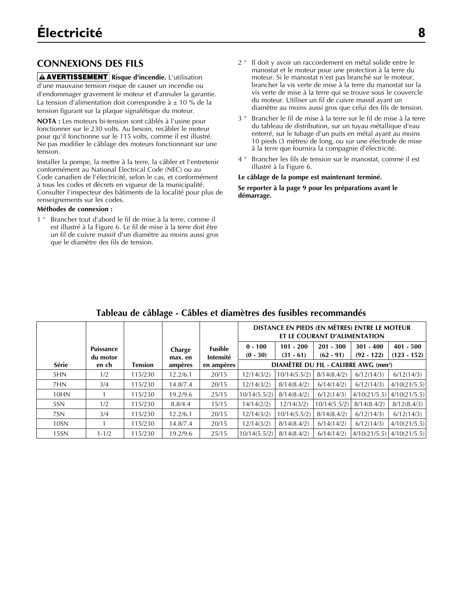# **CONNEXIONS DES FILS**

**A AVERTISSEMENT** Risque d'incendie. L'utilisation d'une mauvaise tension risque de causer un incendie ou d'endommager gravement le moteur et d'annuler la garantie. La tension d'alimentation doit correspondre à  $\pm$  10 % de la tension figurant sur la plaque signalétique du moteur.

**NOTA :** Les moteurs bi-tension sont câblés à l'usine pour fonctionner sur le 230 volts. Au besoin, recâbler le moteur pour qu'il fonctionne sur le 115 volts, comme il est illustré. Ne pas modifier le câblage des moteurs fonctionnant sur une tension.

Installer la pompe, la mettre à la terre, la câbler et l'entretenir conformément au National Electrical Code (NEC) ou au Code canadien de l'électricité, selon le cas, et conformément à tous les codes et décrets en vigueur de la municipalité. Consulter l'inspecteur des bâtiments de la localité pour plus de renseignements sur les codes.

### **Méthodes de connexion :**

1 ° Brancher tout d'abord le fil de mise à la terre, comme il est illustré à la Figure 6. Le fil de mise à la terre doit être un fil de cuivre massif d'un diamètre au moins aussi gros que le diamètre des fils de tension.

- 2 ° Il doit y avoir un raccordement en métal solide entre le manostat et le moteur pour une protection à la terre du moteur. Si le manostat n'est pas branché sur le moteur, brancher la vis verte de mise à la terre du manostat sur la vis verte de mise à la terre qui se trouve sous le couvercle du moteur. Utiliser un fil de cuivre massif ayant un diamètre au moins aussi gros que celui des fils de tension.
- 3 ° Brancher le fil de mise à la terre sur le fil de mise à la terre du tableau de distribution, sur un tuyau métallique d'eau enterré, sur le tubage d'un puits en métal ayant au moins 10 pieds (3 mètres) de long, ou sur une électrode de mise à la terre que fournira la compagnie d'électricité.
- 4 ° Brancher les fils de tension sur le manostat, comme il est illustré à la Figure 6.

### **Le câblage de la pompe est maintenant terminé.**

**Se reporter à la page 9 pour les préparations avant le démarrage.**

|                  |                       |                |                   |                      | DISTANCE EN PIEDS (EN MÈTRES) ENTRE LE MOTEUR<br>ET LE COURANT D'ALIMENTATION |                                                  |                            |                             |                              |
|------------------|-----------------------|----------------|-------------------|----------------------|-------------------------------------------------------------------------------|--------------------------------------------------|----------------------------|-----------------------------|------------------------------|
|                  | Puissance<br>du motor |                | Charge<br>max. en | Fusible<br>Intensité | $0 - 100$<br>$(0 - 30)$                                                       | $101 - 200$<br>$(31 - 61)$                       | $201 - 300$<br>$(62 - 91)$ | $301 - 400$<br>$(92 - 122)$ | $401 - 500$<br>$(123 - 152)$ |
| Série            | en ch                 | <b>Tension</b> | ampères           | en ampères           |                                                                               | DIAMÈTRE DU FIL - CALIBRE AWG (mm <sup>2</sup> ) |                            |                             |                              |
| 5HN              | 1/2                   | 115/230        | 12.2/6.1          | 20/15                | 12/14(3/2)                                                                    | 10/14(5.5/2)                                     | 8/14(8.4/2)                | 6/12(14/3)                  | 6/12(14/3)                   |
| 7HN              | 3/4                   | 115/230        | 14.8/7.4          | 20/15                | 12/14(3/2)                                                                    | 8/14(8.4/2)                                      | 6/14(14/2)                 | 6/12(14/3)                  | 4/10(21/5.5)                 |
| 10HN             |                       | 115/230        | 19.2/9.6          | 25/15                | 10/14(5.5/2)                                                                  | 8/14(8.4/2)                                      | 6/12(14/3)                 | 4/10(21/5.5)                | 4/10(21/5.5)                 |
| 5SN              | 1/2                   | 115/230        | 8.8/4.4           | 15/15                | 14/14(2/2)                                                                    | 12/14(3/2)                                       | 10/14(5.5/2)               | 8/14(8.4/2)                 | 8/12(8.4/3)                  |
| 7SN              | 3/4                   | 115/230        | 12.2/6.1          | 20/15                | 12/14(3/2)                                                                    | 10/14(5.5/2)                                     | 8/14(8.4/2)                | 6/12(14/3)                  | 6/12(14/3)                   |
| 10 <sub>SN</sub> |                       | 115/230        | 14.8/7.4          | 20/15                | 12/14(3/2)                                                                    | 8/14(8.4/2)                                      | 6/14(14/2)                 | 6/12(14/3)                  | 4/10(21/5.5)                 |
| 15 <sub>SN</sub> | $1 - 1/2$             | 115/230        | 19.2/9.6          | 25/15                | 10/14(5.5/2)                                                                  | 8/14(8.4/2)                                      | 6/14(14/2)                 | 4/10(21/5.5)                | 4/10(21/5.5)                 |

# **Tableau de câblage - Câbles et diamètres des fusibles recommandés**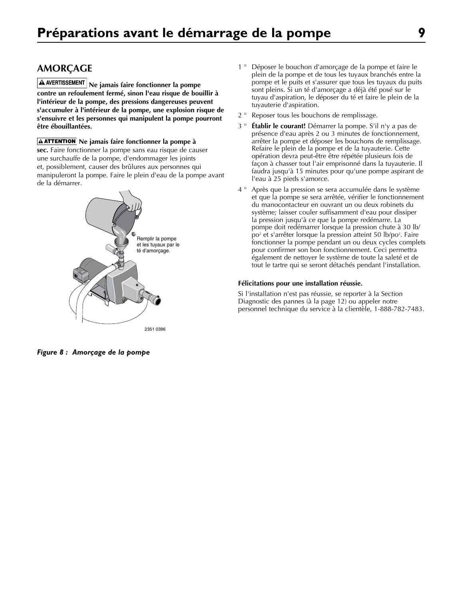**A** AVERTISSEMENT Ne jamais faire fonctionner la pompe **contre un refoulement fermé, sinon l'eau risque de bouillir à l'intérieur de la pompe, des pressions dangereuses peuvent s'accumuler à l'intérieur de la pompe, une explosion risque de s'ensuivre et les personnes qui manipulent la pompe pourront être ébouillantées.**

**A ATTENTION** Ne jamais faire fonctionner la pompe à

**sec.** Faire fonctionner la pompe sans eau risque de causer une surchauffe de la pompe, d'endommager les joints et, possiblement, causer des brûlures aux personnes qui manipuleront la pompe. Faire le plein d'eau de la pompe avant de la démarrer.



*Figure 8 : Amorçage de la pompe*

- 1 ° Déposer le bouchon d'amorçage de la pompe et faire le plein de la pompe et de tous les tuyaux branchés entre la pompe et le puits et s'assurer que tous les tuyaux du puits sont pleins. Si un té d'amorçage a déjà été posé sur le tuyau d'aspiration, le déposer du té et faire le plein de la tuyauterie d'aspiration.
- 2 ° Reposer tous les bouchons de remplissage.
- 3 ° **Établir le courant!** Démarrer la pompe. S'il n'y a pas de présence d'eau après 2 ou 3 minutes de fonctionnement, arrêter la pompe et déposer les bouchons de remplissage. Refaire le plein de la pompe et de la tuyauterie. Cette opération devra peut-être être répétée plusieurs fois de façon à chasser tout l'air emprisonné dans la tuyauterie. Il faudra jusqu'à 15 minutes pour qu'une pompe aspirant de l'eau à 25 pieds s'amorce.
- 4 ° Après que la pression se sera accumulée dans le système et que la pompe se sera arrêtée, vérifier le fonctionnement du manocontacteur en ouvrant un ou deux robinets du système; laisser couler suffisamment d'eau pour dissiper la pression jusqu'à ce que la pompe redémarre. La pompe doit redémarrer lorsque la pression chute à 30 lb/ po<sup>2</sup> et s'arrêter lorsque la pression atteint 50 lb/po<sup>2</sup>. Faire fonctionner la pompe pendant un ou deux cycles complets pour confirmer son bon fonctionnement. Ceci permettra également de nettoyer le système de toute la saleté et de tout le tartre qui se seront détachés pendant l'installation.

#### **Félicitations pour une installation réussie.**

Si l'installation n'est pas réussie, se reporter à la Section Diagnostic des pannes (à la page 12) ou appeler notre personnel technique du service à la clientèle, 1-888-782-7483.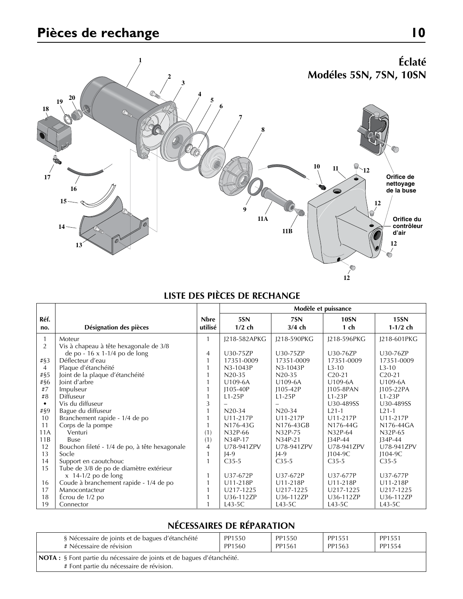# **Pièces de rechange 10**



# **LISTE DES PIÈCES DE RECHANGE**

|                |                                               |                | Modèle et puissance |              |              |             |  |  |  |
|----------------|-----------------------------------------------|----------------|---------------------|--------------|--------------|-------------|--|--|--|
| Réf.           |                                               | <b>Nbre</b>    | 5SN                 | 7SN          | <b>10SN</b>  | <b>15SN</b> |  |  |  |
| no.            | Désignation des pièces                        | utilisé        | $1/2$ ch            | $3/4$ ch     | $1$ ch       | $1-1/2$ ch  |  |  |  |
| $\mathbf{1}$   | Moteur                                        |                | J218-582APKG        | J218-590PKG  | J218-596PKG  | J218-601PKG |  |  |  |
| 2              | Vis à chapeau à tête hexagonale de 3/8        |                |                     |              |              |             |  |  |  |
|                | de po - 16 x 1-1/4 po de long                 | 4              | U30-75ZP            | U30-75ZP     | U30-76ZP     | U30-76ZP    |  |  |  |
| # $\S$ 3       | Déflecteur d'eau                              |                | 17351-0009          | 17351-0009   | 17351-0009   | 17351-0009  |  |  |  |
| $\overline{4}$ | Plaque d'étanchéité                           |                | $N3-1043P$          | N3-1043P     | $1.3 - 10$   | $1.3 - 10$  |  |  |  |
| $\# \S 5$      | Joint de la plaque d'étanchéité               |                | $N20-35$            | $N20-35$     | $C20-21$     | $C20-21$    |  |  |  |
| #§6            | Joint d'arbre                                 |                | U109-6A             | U109-6A      | U109-6A      | U109-6A     |  |  |  |
| #7             | Impulseur                                     |                | $1105 - 40P$        | $1105 - 42P$ | 1105-8PAN    | 1105-22PA   |  |  |  |
| #8             | Diffuseur                                     |                | $L1-25P$            | $1.1 - 2.5P$ | $L1-23P$     | $L1-23P$    |  |  |  |
| $\bullet$      | Vis du diffuseur                              | 3              |                     |              | U30-489SS    | U30-489SS   |  |  |  |
| #§9            | Bague du diffuseur                            |                | $N20-34$            | $N20-34$     | $L21-1$      | $L21-1$     |  |  |  |
| 10             | Branchement rapide - 1/4 de po                |                | U11-217P            | $U11-217P$   | U11-217P     | $U11-217P$  |  |  |  |
| 11             | Corps de la pompe                             |                | $N176-43G$          | N176-43GB    | $N176-44G$   | $N176-44GA$ |  |  |  |
| 11A            | Venturi                                       | (1)            | N32P-66             | N32P-75      | N32P-64      | N32P-65     |  |  |  |
| 11B            | <b>Buse</b>                                   | (1)            | N34P-17             | N34P-21      | $134P-44$    | $134P-44$   |  |  |  |
| 12             | Bouchon fileté - 1/4 de po, à tête hexagonale | $\overline{4}$ | U78-941ZPV          | U78-941ZPV   | U78-941ZPV   | U78-941ZPV  |  |  |  |
| 13             | Socle                                         | $\mathbf{1}$   | $14-9$              | $14-9$       | $1104-9C$    | $1104-9C$   |  |  |  |
| 14             | Support en caoutchouc                         |                | $C35-5$             | $C35-5$      | $C35-5$      | $C35-5$     |  |  |  |
| 15             | Tube de 3/8 de po de diamètre extérieur       |                |                     |              |              |             |  |  |  |
|                | $x$ 14-1/2 po de long                         |                | U37-672P            | U37-672P     | U37-677P     | U37-677P    |  |  |  |
| 16             | Coude à branchement rapide - 1/4 de po        |                | U11-218P            | U11-218P     | $U11 - 218P$ | U11-218P    |  |  |  |
| 17             | Manocontacteur                                |                | U217-1225           | U217-1225    | U217-1225    | U217-1225   |  |  |  |
| 18             | Écrou de 1/2 po                               |                | U36-112ZP           | U36-112ZP    | U36-112ZP    | U36-112ZP   |  |  |  |
| 19             | Connector                                     |                | $L43-5C$            | $L43-5C$     | $L43-5C$     | $L43-5C$    |  |  |  |

# **NÉCESSAIRES DE RÉPARATION**

| § Nécessaire de joints et de bagues d'étanchéité                                                                    | PP1550 | PP1550 | PP1551 | PP1551 |
|---------------------------------------------------------------------------------------------------------------------|--------|--------|--------|--------|
| # Nécessaire de révision                                                                                            | PP1560 | PP1561 | PP1563 | PP1554 |
| NOTA : § Font partie du nécessaire de joints et de bagues d'étanchéité.<br># Font partie du nécessaire de révision. |        |        |        |        |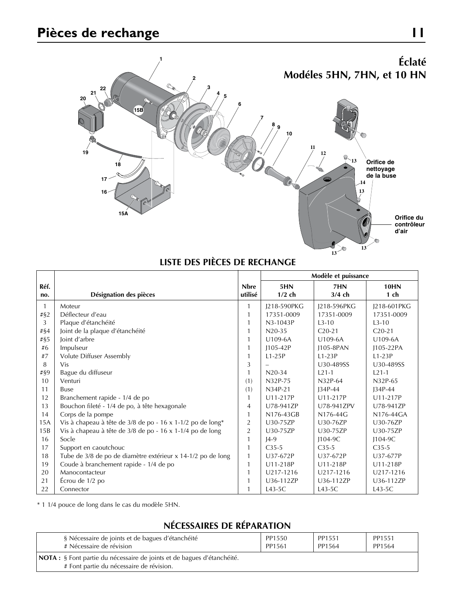# **Pièces de rechange 11**



# **LISTE DES PIÈCES DE RECHANGE**

|              |                                                             |                | Modèle et puissance |             |             |
|--------------|-------------------------------------------------------------|----------------|---------------------|-------------|-------------|
| Réf.         |                                                             | <b>Nbre</b>    | 5HN                 | 7HN         | <b>10HN</b> |
| no.          | Désignation des pièces                                      | utilisé        | $1/2$ ch            | $3/4$ ch    | $1$ ch      |
| $\mathbf{1}$ | Moteur                                                      | 1              | J218-590PKG         | J218-596PKG | J218-601PKG |
| $\# \S2$     | Déflecteur d'eau                                            | $\mathbf{1}$   | 17351-0009          | 17351-0009  | 17351-0009  |
| 3            | Plaque d'étanchéité                                         | 1              | N3-1043P            | $L3 - 10$   | $L3 - 10$   |
| # $§4$       | Joint de la plaque d'étanchéité                             | $\mathbf{1}$   | $N20-35$            | $C20-21$    | $C20-21$    |
| #§5          | Joint d'arbre                                               |                | U109-6A             | U109-6A     | U109-6A     |
| #6           | Impulseur                                                   |                | $1105 - 42P$        | J105-8PAN   | J105-22PA   |
| #7           | Volute Diffuser Assembly                                    |                | $L1-25P$            | $L1-23P$    | $L1-23P$    |
| 8            | <b>Vis</b>                                                  | 3              |                     | U30-489SS   | U30-489SS   |
| #§9          | Bague du diffuseur                                          | $\mathbf{1}$   | $N20-34$            | $1.21 - 1$  | $1.21 - 1$  |
| 10           | Venturi                                                     | (1)            | N32P-75             | N32P-64     | N32P-65     |
| 11           | <b>Buse</b>                                                 | (1)            | N34P-21             | $134P-44$   | $134P-44$   |
| 12           | Branchement rapide - 1/4 de po                              | $\mathbf{1}$   | U11-217P            | U11-217P    | U11-217P    |
| 13           | Bouchon fileté - 1/4 de po, à tête hexagonale               | $\overline{4}$ | U78-941ZP           | U78-941ZPV  | U78-941ZP   |
| 14           | Corps de la pompe                                           | $\mathbf{1}$   | N176-43GB           | N176-44G    | N176-44GA   |
| 15A          | Vis à chapeau à tête de 3/8 de po - 16 x 1-1/2 po de long*  | $\overline{2}$ | U30-75ZP            | U30-76ZP    | U30-76ZP    |
| 15B          | Vis à chapeau à tête de 3/8 de po - 16 x 1-1/4 po de long   | $\overline{2}$ | U30-75ZP            | U30-75ZP    | U30-75ZP    |
| 16           | Socle                                                       |                | $14-9$              | $1104-9C$   | $1104-9C$   |
| 17           | Support en caoutchouc                                       |                | $C35-5$             | $C35-5$     | $C35-5$     |
| 18           | Tube de 3/8 de po de diamètre extérieur x 14-1/2 po de long | $\mathbf{1}$   | U37-672P            | U37-672P    | U37-677P    |
| 19           | Coude à branchement rapide - 1/4 de po                      |                | U11-218P            | U11-218P    | U11-218P    |
| 20           | Manocontacteur                                              |                | U217-1216           | U217-1216   | U217-1216   |
| 21           | Écrou de 1/2 po                                             |                | U36-112ZP           | U36-112ZP   | U36-112ZP   |
| 22           | Connector                                                   |                | $L43-5C$            | $L43-5C$    | $L43-5C$    |

\* 1 1/4 pouce de long dans le cas du modèle 5HN.

# **NÉCESSAIRES DE RÉPARATION**

| § Nécessaire de joints et de bagues d'étanchéité                                                                           | PP1550 | PP1551 | PP1551 |  |
|----------------------------------------------------------------------------------------------------------------------------|--------|--------|--------|--|
| # Nécessaire de révision                                                                                                   | PP1561 | PP1564 | PP1564 |  |
| <b>NOTA</b> : § Font partie du nécessaire de joints et de bagues d'étanchéité.<br># Font partie du nécessaire de révision. |        |        |        |  |